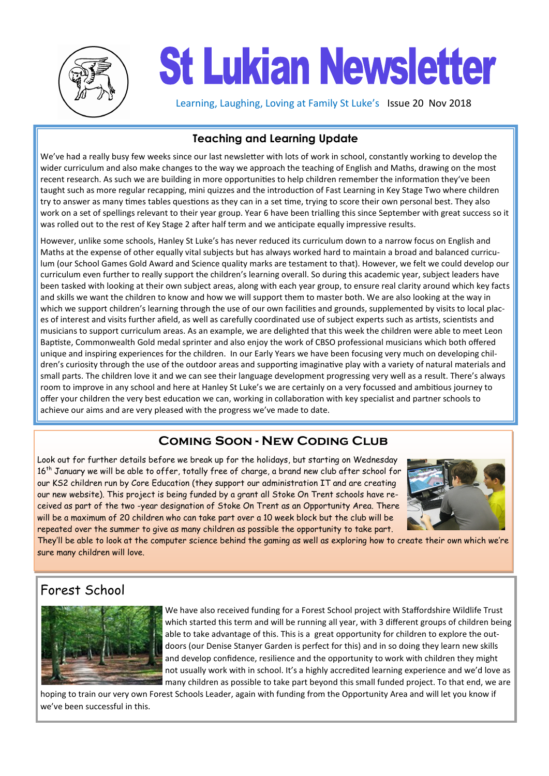

# **St Lukian Newsletter**

Learning, Laughing, Loving at Family St Luke's Issue 20 Nov 2018

## **Teaching and Learning Update**

We've had a really busy few weeks since our last newsletter with lots of work in school, constantly working to develop the wider curriculum and also make changes to the way we approach the teaching of English and Maths, drawing on the most recent research. As such we are building in more opportunities to help children remember the information they've been taught such as more regular recapping, mini quizzes and the introduction of Fast Learning in Key Stage Two where children try to answer as many times tables questions as they can in a set time, trying to score their own personal best. They also work on a set of spellings relevant to their year group. Year 6 have been trialling this since September with great success so it was rolled out to the rest of Key Stage 2 after half term and we anticipate equally impressive results.

However, unlike some schools, Hanley St Luke's has never reduced its curriculum down to a narrow focus on English and Maths at the expense of other equally vital subjects but has always worked hard to maintain a broad and balanced curriculum (our School Games Gold Award and Science quality marks are testament to that). However, we felt we could develop our curriculum even further to really support the children's learning overall. So during this academic year, subject leaders have been tasked with looking at their own subject areas, along with each year group, to ensure real clarity around which key facts and skills we want the children to know and how we will support them to master both. We are also looking at the way in which we support children's learning through the use of our own facilities and grounds, supplemented by visits to local places of interest and visits further afield, as well as carefully coordinated use of subject experts such as artists, scientists and musicians to support curriculum areas. As an example, we are delighted that this week the children were able to meet Leon Baptiste, Commonwealth Gold medal sprinter and also enjoy the work of CBSO professional musicians which both offered unique and inspiring experiences for the children. In our Early Years we have been focusing very much on developing children's curiosity through the use of the outdoor areas and supporting imaginative play with a variety of natural materials and small parts. The children love it and we can see their language development progressing very well as a result. There's always room to improve in any school and here at Hanley St Luke's we are certainly on a very focussed and ambitious journey to offer your children the very best education we can, working in collaboration with key specialist and partner schools to achieve our aims and are very pleased with the progress we've made to date.

## **Coming Soon - New Coding Club**

Look out for further details before we break up for the holidays, but starting on Wednesday 16<sup>th</sup> January we will be able to offer, totally free of charge, a brand new club after school for our KS2 children run by Core Education (they support our administration IT and are creating our new website). This project is being funded by a grant all Stoke On Trent schools have received as part of the two -year designation of Stoke On Trent as an Opportunity Area. There will be a maximum of 20 children who can take part over a 10 week block but the club will be repeated over the summer to give as many children as possible the opportunity to take part.



They'll be able to look at the computer science behind the gaming as well as exploring how to create their own which we're sure many children will love.

# Forest School



We have also received funding for a Forest School project with Staffordshire Wildlife Trust which started this term and will be running all year, with 3 different groups of children being able to take advantage of this. This is a great opportunity for children to explore the outdoors (our Denise Stanyer Garden is perfect for this) and in so doing they learn new skills and develop confidence, resilience and the opportunity to work with children they might not usually work with in school. It's a highly accredited learning experience and we'd love as many children as possible to take part beyond this small funded project. To that end, we are

hoping to train our very own Forest Schools Leader, again with funding from the Opportunity Area and will let you know if we've been successful in this.